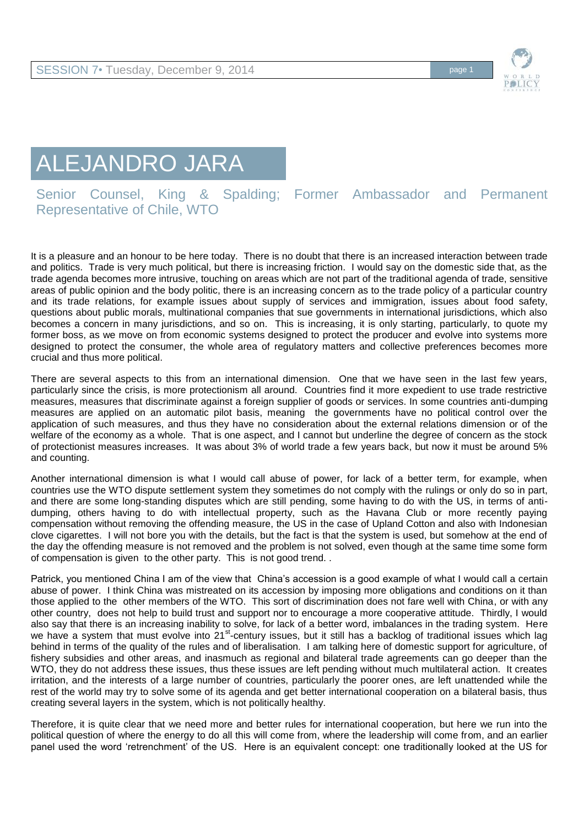

## ALEJANDRO JARA

Senior Counsel, King & Spalding; Former Ambassador and Permanent Representative of Chile, WTO

It is a pleasure and an honour to be here today. There is no doubt that there is an increased interaction between trade and politics. Trade is very much political, but there is increasing friction. I would say on the domestic side that, as the trade agenda becomes more intrusive, touching on areas which are not part of the traditional agenda of trade, sensitive areas of public opinion and the body politic, there is an increasing concern as to the trade policy of a particular country and its trade relations, for example issues about supply of services and immigration, issues about food safety, questions about public morals, multinational companies that sue governments in international jurisdictions, which also becomes a concern in many jurisdictions, and so on. This is increasing, it is only starting, particularly, to quote my former boss, as we move on from economic systems designed to protect the producer and evolve into systems more designed to protect the consumer, the whole area of regulatory matters and collective preferences becomes more crucial and thus more political.

There are several aspects to this from an international dimension. One that we have seen in the last few years, particularly since the crisis, is more protectionism all around. Countries find it more expedient to use trade restrictive measures, measures that discriminate against a foreign supplier of goods or services. In some countries anti-dumping measures are applied on an automatic pilot basis, meaning the governments have no political control over the application of such measures, and thus they have no consideration about the external relations dimension or of the welfare of the economy as a whole. That is one aspect, and I cannot but underline the degree of concern as the stock of protectionist measures increases. It was about 3% of world trade a few years back, but now it must be around 5% and counting.

Another international dimension is what I would call abuse of power, for lack of a better term, for example, when countries use the WTO dispute settlement system they sometimes do not comply with the rulings or only do so in part, and there are some long-standing disputes which are still pending, some having to do with the US, in terms of antidumping, others having to do with intellectual property, such as the Havana Club or more recently paying compensation without removing the offending measure, the US in the case of Upland Cotton and also with Indonesian clove cigarettes. I will not bore you with the details, but the fact is that the system is used, but somehow at the end of the day the offending measure is not removed and the problem is not solved, even though at the same time some form of compensation is given to the other party. This is not good trend. .

Patrick, you mentioned China I am of the view that China's accession is a good example of what I would call a certain abuse of power. I think China was mistreated on its accession by imposing more obligations and conditions on it than those applied to the other members of the WTO. This sort of discrimination does not fare well with China, or with any other country, does not help to build trust and support nor to encourage a more cooperative attitude. Thirdly, I would also say that there is an increasing inability to solve, for lack of a better word, imbalances in the trading system. Here we have a system that must evolve into 21<sup>st</sup>-century issues, but it still has a backlog of traditional issues which lag behind in terms of the quality of the rules and of liberalisation. I am talking here of domestic support for agriculture, of fishery subsidies and other areas, and inasmuch as regional and bilateral trade agreements can go deeper than the WTO, they do not address these issues, thus these issues are left pending without much multilateral action. It creates irritation, and the interests of a large number of countries, particularly the poorer ones, are left unattended while the rest of the world may try to solve some of its agenda and get better international cooperation on a bilateral basis, thus creating several layers in the system, which is not politically healthy.

Therefore, it is quite clear that we need more and better rules for international cooperation, but here we run into the political question of where the energy to do all this will come from, where the leadership will come from, and an earlier panel used the word 'retrenchment' of the US. Here is an equivalent concept: one traditionally looked at the US for